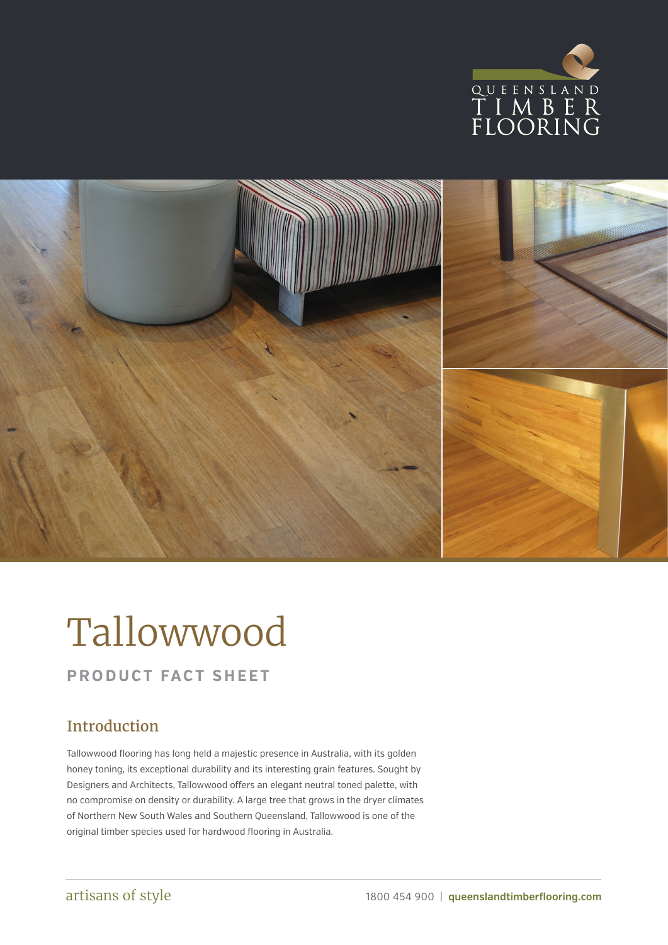



# Tallowwood

### **PRODUCT FACT SHEET**

## Introduction

Tallowwood flooring has long held a majestic presence in Australia, with its golden honey toning, its exceptional durability and its interesting grain features. Sought by Designers and Architects, Tallowwood offers an elegant neutral toned palette, with no compromise on density or durability. A large tree that grows in the dryer climates of Northern New South Wales and Southern Queensland, Tallowwood is one of the original timber species used for hardwood flooring in Australia.